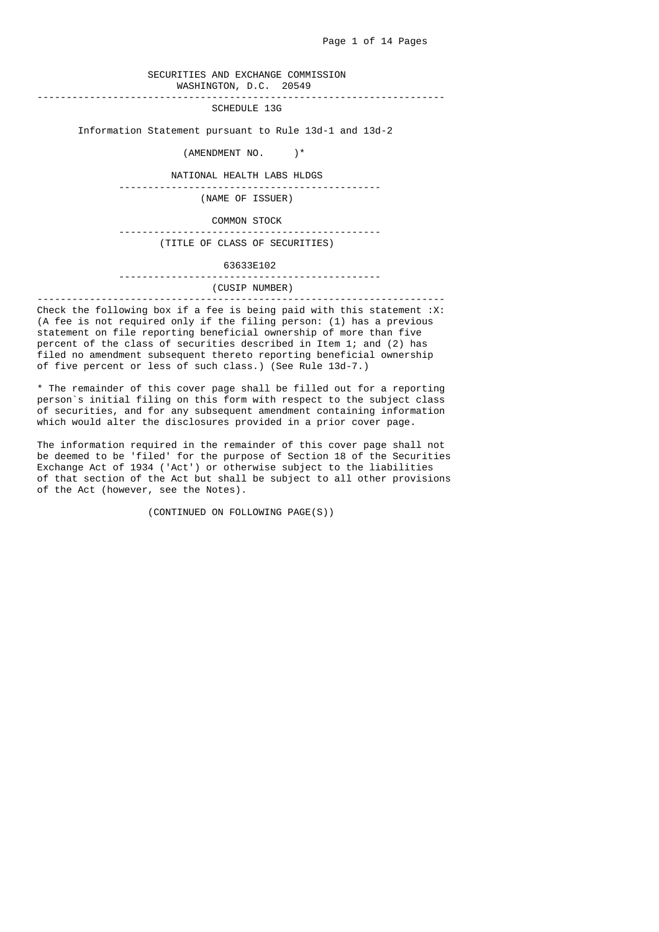## SECURITIES AND EXCHANGE COMMISSION WASHINGTON, D.C. 20549

----------------------------------------------------------------------

SCHEDULE 13G

Information Statement pursuant to Rule 13d-1 and 13d-2

(AMENDMENT NO. )\*

NATIONAL HEALTH LABS HLDGS

---------------------------------------------

(NAME OF ISSUER)

 COMMON STOCK ---------------------------------------------

(TITLE OF CLASS OF SECURITIES)

### 63633E102

# ---------------------------------------------

#### (CUSIP NUMBER) ----------------------------------------------------------------------

Check the following box if a fee is being paid with this statement  $:X$ : (A fee is not required only if the filing person: (1) has a previous statement on file reporting beneficial ownership of more than five percent of the class of securities described in Item 1; and (2) has filed no amendment subsequent thereto reporting beneficial ownership of five percent or less of such class.) (See Rule 13d-7.)

 \* The remainder of this cover page shall be filled out for a reporting person`s initial filing on this form with respect to the subject class of securities, and for any subsequent amendment containing information which would alter the disclosures provided in a prior cover page.

 The information required in the remainder of this cover page shall not be deemed to be 'filed' for the purpose of Section 18 of the Securities Exchange Act of 1934 ('Act') or otherwise subject to the liabilities of that section of the Act but shall be subject to all other provisions of the Act (however, see the Notes).

(CONTINUED ON FOLLOWING PAGE(S))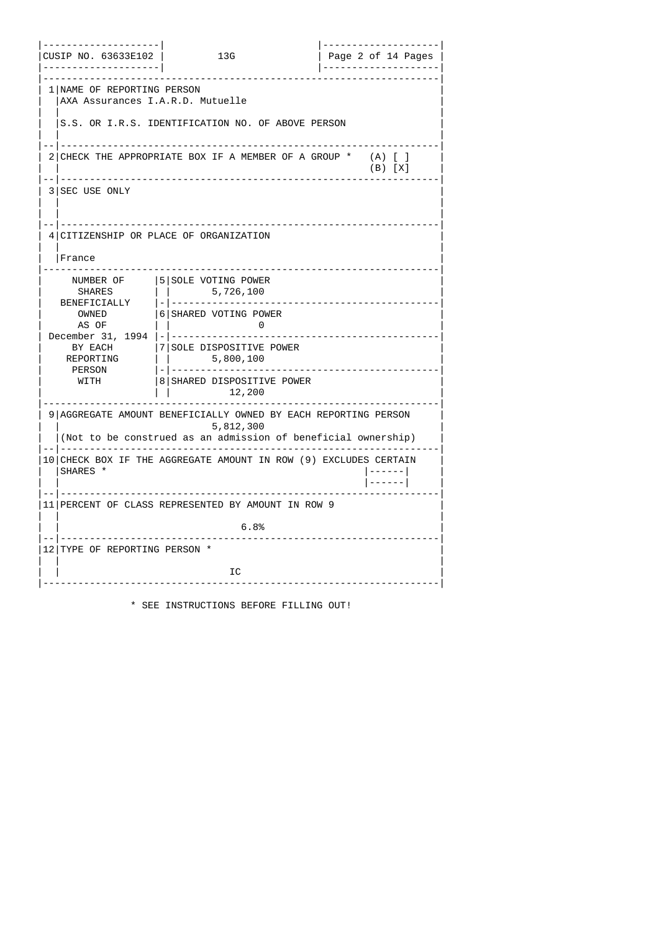| -------------------- <br>CUSIP NO. 63633E102  <br>-------------------- | 13G                                                                                                                                                                                                                                                                                                                                                                                                                                                                                                                                                                                                                            | Page 2 of 14 Pages                 |
|------------------------------------------------------------------------|--------------------------------------------------------------------------------------------------------------------------------------------------------------------------------------------------------------------------------------------------------------------------------------------------------------------------------------------------------------------------------------------------------------------------------------------------------------------------------------------------------------------------------------------------------------------------------------------------------------------------------|------------------------------------|
| 1   NAME OF REPORTING PERSON<br>  AXA Assurances I.A.R.D. Mutuelle     |                                                                                                                                                                                                                                                                                                                                                                                                                                                                                                                                                                                                                                |                                    |
|                                                                        | IS.S. OR I.R.S. IDENTIFICATION NO. OF ABOVE PERSON                                                                                                                                                                                                                                                                                                                                                                                                                                                                                                                                                                             |                                    |
|                                                                        | 2   CHECK THE APPROPRIATE BOX IF A MEMBER OF A GROUP *                                                                                                                                                                                                                                                                                                                                                                                                                                                                                                                                                                         | $(A)$ $[$ $]$<br>$(B)$ $[X]$       |
| -- --------<br>3 SEC USE ONLY                                          |                                                                                                                                                                                                                                                                                                                                                                                                                                                                                                                                                                                                                                |                                    |
| France                                                                 | 4 CITIZENSHIP OR PLACE OF ORGANIZATION                                                                                                                                                                                                                                                                                                                                                                                                                                                                                                                                                                                         |                                    |
| NUMBER OF<br>SHARES<br>AS OF<br>BY EACH<br>REPORTING<br>PERSON<br>WITH | 5 SOLE VOTING POWER<br>$ $   5,726,100<br>OWNED  6 SHARED VOTING POWER<br>$\pm 1$<br>$\overline{\phantom{a}}$ . $\overline{\phantom{a}}$ . $\overline{\phantom{a}}$ . $\overline{\phantom{a}}$ . $\overline{\phantom{a}}$ . $\overline{\phantom{a}}$ . $\overline{\phantom{a}}$ . $\overline{\phantom{a}}$ . $\overline{\phantom{a}}$ . $\overline{\phantom{a}}$ . $\overline{\phantom{a}}$ . $\overline{\phantom{a}}$ . $\overline{\phantom{a}}$ . $\overline{\phantom{a}}$ . $\overline{\phantom{a}}$ . $\overline{\phantom{a}}$<br> 7 SOLE DISPOSITIVE POWER<br>$\vert$   5,800,100<br>8 SHARED DISPOSITIVE POWER<br>12,200 | <u> - - - - - - - - - - -</u>      |
|                                                                        | . <u>.</u><br>9   AGGREGATE AMOUNT BENEFICIALLY OWNED BY EACH REPORTING PERSON<br>5,812,300<br>(Not to be construed as an admission of beneficial ownership)                                                                                                                                                                                                                                                                                                                                                                                                                                                                   |                                    |
| SHARES *                                                               | 10   CHECK BOX IF THE AGGREGATE AMOUNT IN ROW (9) EXCLUDES CERTAIN                                                                                                                                                                                                                                                                                                                                                                                                                                                                                                                                                             | $  - - - - -  $<br>$  - - - - -  $ |
|                                                                        | 11   PERCENT OF CLASS REPRESENTED BY AMOUNT IN ROW 9                                                                                                                                                                                                                                                                                                                                                                                                                                                                                                                                                                           |                                    |
|                                                                        | 6.8%<br>.                                                                                                                                                                                                                                                                                                                                                                                                                                                                                                                                                                                                                      |                                    |
| 12 TYPE OF REPORTING PERSON *                                          |                                                                                                                                                                                                                                                                                                                                                                                                                                                                                                                                                                                                                                |                                    |
|                                                                        | IC                                                                                                                                                                                                                                                                                                                                                                                                                                                                                                                                                                                                                             |                                    |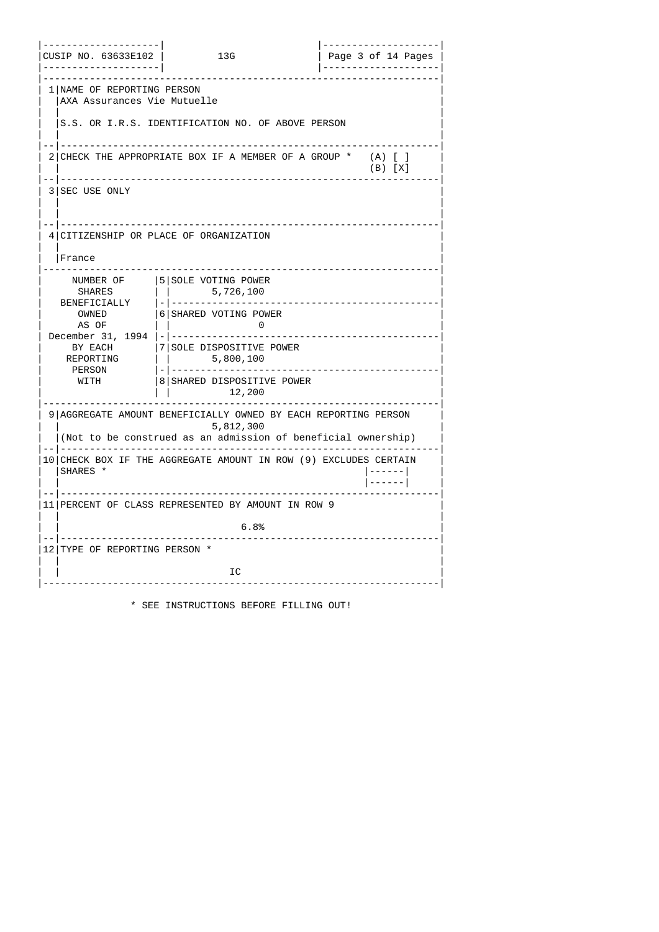| -------------------- <br>CUSIP NO. 63633E102  <br>-------------------- | 13G                                                                                                                                                          | Page 3 of 14 Pages           |
|------------------------------------------------------------------------|--------------------------------------------------------------------------------------------------------------------------------------------------------------|------------------------------|
| 1 NAME OF REPORTING PERSON<br> AXA Assurances Vie Mutuelle             |                                                                                                                                                              |                              |
|                                                                        | IS.S. OR I.R.S. IDENTIFICATION NO. OF ABOVE PERSON                                                                                                           |                              |
|                                                                        | ---------------------------------<br>2 CHECK THE APPROPRIATE BOX IF A MEMBER OF A GROUP *                                                                    | $(A)$ $[$ $]$<br>$(B)$ $[X]$ |
| . .  <br>3   SEC USE ONLY                                              |                                                                                                                                                              |                              |
| France                                                                 | 4 CITIZENSHIP OR PLACE OF ORGANIZATION                                                                                                                       |                              |
| NUMBER OF<br>AS OF<br>BY EACH<br>REPORTING<br>PERSON<br>WITH           | 5 SOLE VOTING POWER<br>OWNED  6 SHARED VOTING POWER<br>$\Box$<br>$\bullet$ 0<br><b>17 SOLE DISPOSITIVE POWER</b><br>8 SHARED DISPOSITIVE POWER<br>12,200     |                              |
|                                                                        | . <u>.</u><br>9   AGGREGATE AMOUNT BENEFICIALLY OWNED BY EACH REPORTING PERSON<br>5,812,300<br>(Not to be construed as an admission of beneficial ownership) |                              |
| ISHARES *                                                              | 10 CHECK BOX IF THE AGGREGATE AMOUNT IN ROW (9) EXCLUDES CERTAIN                                                                                             | $  - - - - -  $<br> ------   |
|                                                                        | 11   PERCENT OF CLASS REPRESENTED BY AMOUNT IN ROW 9                                                                                                         |                              |
|                                                                        | 6.8%<br>-------------------------------                                                                                                                      |                              |
| 12 TYPE OF REPORTING PERSON *                                          |                                                                                                                                                              |                              |
|                                                                        | IC                                                                                                                                                           |                              |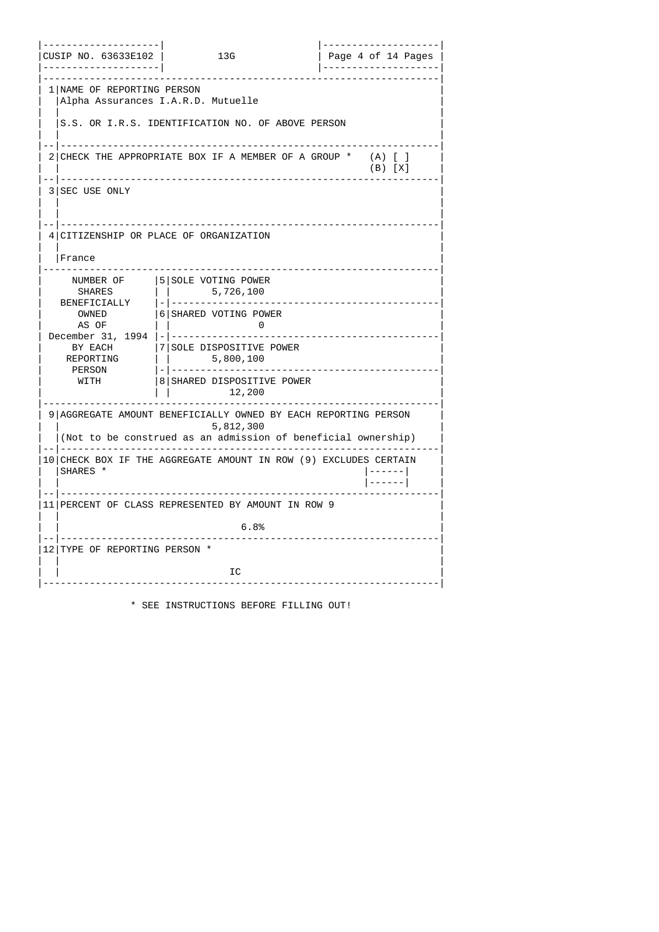| -------------------- <br>CUSIP NO. 63633E102                           | 13G                                                                                                                                                                                                                                                                                                                                                                                                                                                                                                                                                                                                                            | -------------------- <br>  Page 4 of 14 Pages |
|------------------------------------------------------------------------|--------------------------------------------------------------------------------------------------------------------------------------------------------------------------------------------------------------------------------------------------------------------------------------------------------------------------------------------------------------------------------------------------------------------------------------------------------------------------------------------------------------------------------------------------------------------------------------------------------------------------------|-----------------------------------------------|
| 1   NAME OF REPORTING PERSON                                           | Alpha Assurances I.A.R.D. Mutuelle                                                                                                                                                                                                                                                                                                                                                                                                                                                                                                                                                                                             |                                               |
|                                                                        | IS.S. OR I.R.S. IDENTIFICATION NO. OF ABOVE PERSON                                                                                                                                                                                                                                                                                                                                                                                                                                                                                                                                                                             |                                               |
|                                                                        | -------------------------------------<br>2   CHECK THE APPROPRIATE BOX IF A MEMBER OF A GROUP *                                                                                                                                                                                                                                                                                                                                                                                                                                                                                                                                | $(A)$ $[$ $]$<br>$(B)$ $[X]$                  |
| - -   - - - - - - -<br>3 SEC USE ONLY                                  |                                                                                                                                                                                                                                                                                                                                                                                                                                                                                                                                                                                                                                |                                               |
| <b> France</b>                                                         | 4 CITIZENSHIP OR PLACE OF ORGANIZATION                                                                                                                                                                                                                                                                                                                                                                                                                                                                                                                                                                                         |                                               |
| NUMBER OF<br>SHARES<br>AS OF<br>BY EACH<br>REPORTING<br>PERSON<br>WITH | 5 SOLE VOTING POWER<br>$ $   5,726,100<br>OWNED  6 SHARED VOTING POWER<br>$\pm 1$<br>$\overline{\phantom{a}}$ . $\overline{\phantom{a}}$ . $\overline{\phantom{a}}$ . $\overline{\phantom{a}}$ . $\overline{\phantom{a}}$ . $\overline{\phantom{a}}$ . $\overline{\phantom{a}}$ . $\overline{\phantom{a}}$ . $\overline{\phantom{a}}$ . $\overline{\phantom{a}}$ . $\overline{\phantom{a}}$ . $\overline{\phantom{a}}$ . $\overline{\phantom{a}}$ . $\overline{\phantom{a}}$ . $\overline{\phantom{a}}$ . $\overline{\phantom{a}}$<br> 7 SOLE DISPOSITIVE POWER<br>$\vert$   5,800,100<br>8 SHARED DISPOSITIVE POWER<br>12,200 | <u> - - - - - - - - - - -</u>                 |
|                                                                        | <u> - - - - - - - - -</u><br>9   AGGREGATE AMOUNT BENEFICIALLY OWNED BY EACH REPORTING PERSON<br>5,812,300<br>(Not to be construed as an admission of beneficial ownership)                                                                                                                                                                                                                                                                                                                                                                                                                                                    |                                               |
| SHARES *                                                               | 10   CHECK BOX IF THE AGGREGATE AMOUNT IN ROW (9) EXCLUDES CERTAIN                                                                                                                                                                                                                                                                                                                                                                                                                                                                                                                                                             | $  - - - - -  $<br>$  - - - - -  $            |
|                                                                        | 11   PERCENT OF CLASS REPRESENTED BY AMOUNT IN ROW 9                                                                                                                                                                                                                                                                                                                                                                                                                                                                                                                                                                           |                                               |
|                                                                        | 6.8%                                                                                                                                                                                                                                                                                                                                                                                                                                                                                                                                                                                                                           |                                               |
| 12 TYPE OF REPORTING PERSON *                                          |                                                                                                                                                                                                                                                                                                                                                                                                                                                                                                                                                                                                                                |                                               |
|                                                                        | IC                                                                                                                                                                                                                                                                                                                                                                                                                                                                                                                                                                                                                             |                                               |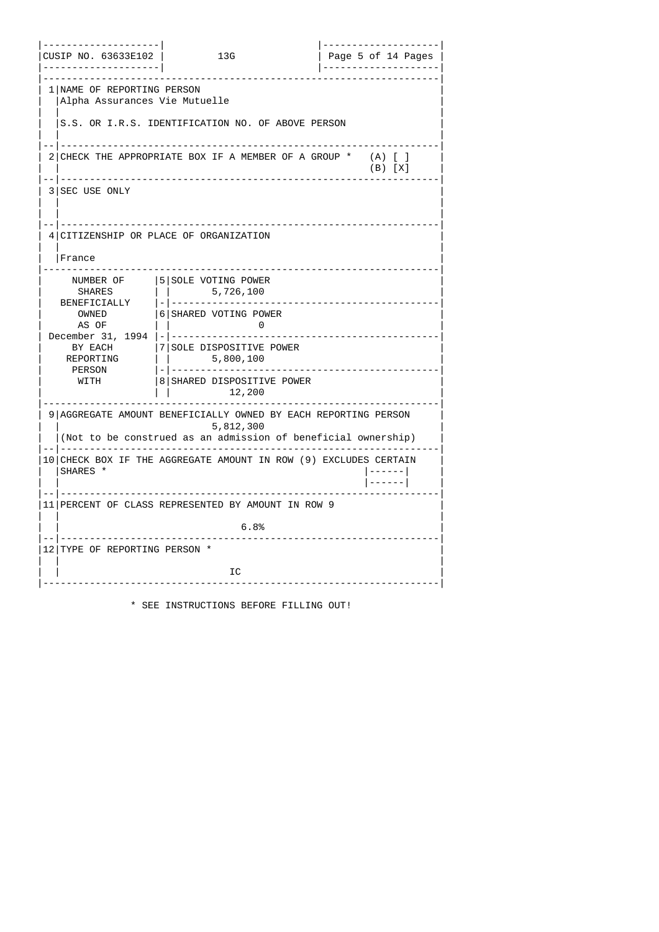| ------------------- <br>CUSIP NO. 63633E102  <br>------------------- | <b>13G</b>                                                                                                                                                          | Page 5 of 14 Pages                          |
|----------------------------------------------------------------------|---------------------------------------------------------------------------------------------------------------------------------------------------------------------|---------------------------------------------|
| 1   NAME OF REPORTING PERSON<br>  Alpha Assurances Vie Mutuelle      | <u>.</u>                                                                                                                                                            |                                             |
|                                                                      | IS.S. OR I.R.S. IDENTIFICATION NO. OF ABOVE PERSON                                                                                                                  |                                             |
|                                                                      | ---------------------------------<br>2 CHECK THE APPROPRIATE BOX IF A MEMBER OF A GROUP *                                                                           | $(A)$ $\lceil$ $\rceil$<br>$(B)$ $[X]$      |
| . -   - - - - - - - -<br>3 SEC USE ONLY                              |                                                                                                                                                                     |                                             |
| France                                                               | 4 CITIZENSHIP OR PLACE OF ORGANIZATION                                                                                                                              |                                             |
| NUMBER OF<br>AS OF<br>BY EACH<br>REPORTING<br>PERSON<br>WITH         | 5 SOLE VOTING POWER<br>OWNED  6 SHARED VOTING POWER<br>$\mathbf{1}$<br>$\overline{\mathbf{0}}$<br>17 SOLE DISPOSITIVE POWER<br>8 SHARED DISPOSITIVE POWER<br>12,200 | <u> - - - - - - - - - - - - - - - - - -</u> |
|                                                                      | . <u>.</u> .<br>9   AGGREGATE AMOUNT BENEFICIALLY OWNED BY EACH REPORTING PERSON<br>5,812,300<br>(Not to be construed as an admission of beneficial ownership)      |                                             |
| SHARES *                                                             | 10   CHECK BOX IF THE AGGREGATE AMOUNT IN ROW (9) EXCLUDES CERTAIN                                                                                                  | $  - - - - -  $<br> ------                  |
|                                                                      | 11   PERCENT OF CLASS REPRESENTED BY AMOUNT IN ROW 9                                                                                                                |                                             |
| .                                                                    | 6.8%<br>. <u>.</u>                                                                                                                                                  |                                             |
| 12 TYPE OF REPORTING PERSON *                                        |                                                                                                                                                                     |                                             |
|                                                                      | IC                                                                                                                                                                  |                                             |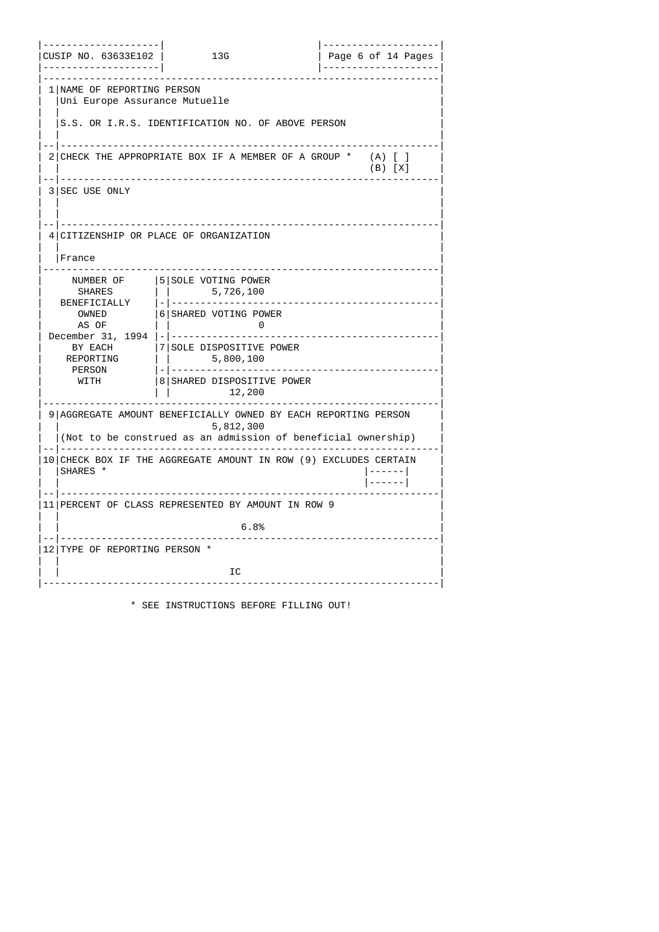| -------------------- <br>CUSIP NO. 63633E102  <br>------------------- | 136                                                                                                                                                                                                                                                                                                                                                                                                                                                                                                                                                                                                              | -------------------- <br>  Page 6 of 14 Pages |
|-----------------------------------------------------------------------|------------------------------------------------------------------------------------------------------------------------------------------------------------------------------------------------------------------------------------------------------------------------------------------------------------------------------------------------------------------------------------------------------------------------------------------------------------------------------------------------------------------------------------------------------------------------------------------------------------------|-----------------------------------------------|
| 1   NAME OF REPORTING PERSON<br>Uni Europe Assurance Mutuelle         |                                                                                                                                                                                                                                                                                                                                                                                                                                                                                                                                                                                                                  |                                               |
|                                                                       | S.S. OR I.R.S. IDENTIFICATION NO. OF ABOVE PERSON                                                                                                                                                                                                                                                                                                                                                                                                                                                                                                                                                                |                                               |
|                                                                       | 2   CHECK THE APPROPRIATE BOX IF A MEMBER OF A GROUP *                                                                                                                                                                                                                                                                                                                                                                                                                                                                                                                                                           | $(A)$ $[$ $]$<br>$(B)$ $[X]$                  |
| - -   - - - - - - -<br>3 SEC USE ONLY                                 |                                                                                                                                                                                                                                                                                                                                                                                                                                                                                                                                                                                                                  |                                               |
| <b> France</b>                                                        | 4 CITIZENSHIP OR PLACE OF ORGANIZATION                                                                                                                                                                                                                                                                                                                                                                                                                                                                                                                                                                           |                                               |
| NUMBER OF<br>AS OF<br>BY EACH<br>REPORTING<br>PERSON<br>WITH          | 5 SOLE VOTING POWER<br>OWNED  6 SHARED VOTING POWER<br>$\mathbf{1}$<br>$\overline{\phantom{a}}$ . $\overline{\phantom{a}}$ . $\overline{\phantom{a}}$ . $\overline{\phantom{a}}$ . $\overline{\phantom{a}}$ . $\overline{\phantom{a}}$ . $\overline{\phantom{a}}$ . $\overline{\phantom{a}}$ . $\overline{\phantom{a}}$ . $\overline{\phantom{a}}$ . $\overline{\phantom{a}}$ . $\overline{\phantom{a}}$ . $\overline{\phantom{a}}$ . $\overline{\phantom{a}}$ . $\overline{\phantom{a}}$ . $\overline{\phantom{a}}$<br> 7 SOLE DISPOSITIVE POWER<br>$\vert$   5,800,100<br>8 SHARED DISPOSITIVE POWER<br>12,200 | <u> - - - - - - - - - - -</u>                 |
|                                                                       | .<br>9   AGGREGATE AMOUNT BENEFICIALLY OWNED BY EACH REPORTING PERSON<br>5,812,300<br>(Not to be construed as an admission of beneficial ownership)                                                                                                                                                                                                                                                                                                                                                                                                                                                              |                                               |
| SHARES *                                                              | 10   CHECK BOX IF THE AGGREGATE AMOUNT IN ROW (9) EXCLUDES CERTAIN                                                                                                                                                                                                                                                                                                                                                                                                                                                                                                                                               | $  - - - - -  $<br>$  - - - - -  $            |
|                                                                       | 11   PERCENT OF CLASS REPRESENTED BY AMOUNT IN ROW 9                                                                                                                                                                                                                                                                                                                                                                                                                                                                                                                                                             |                                               |
|                                                                       | 6.8%                                                                                                                                                                                                                                                                                                                                                                                                                                                                                                                                                                                                             |                                               |
| 12 TYPE OF REPORTING PERSON *                                         |                                                                                                                                                                                                                                                                                                                                                                                                                                                                                                                                                                                                                  |                                               |
|                                                                       | IC                                                                                                                                                                                                                                                                                                                                                                                                                                                                                                                                                                                                               |                                               |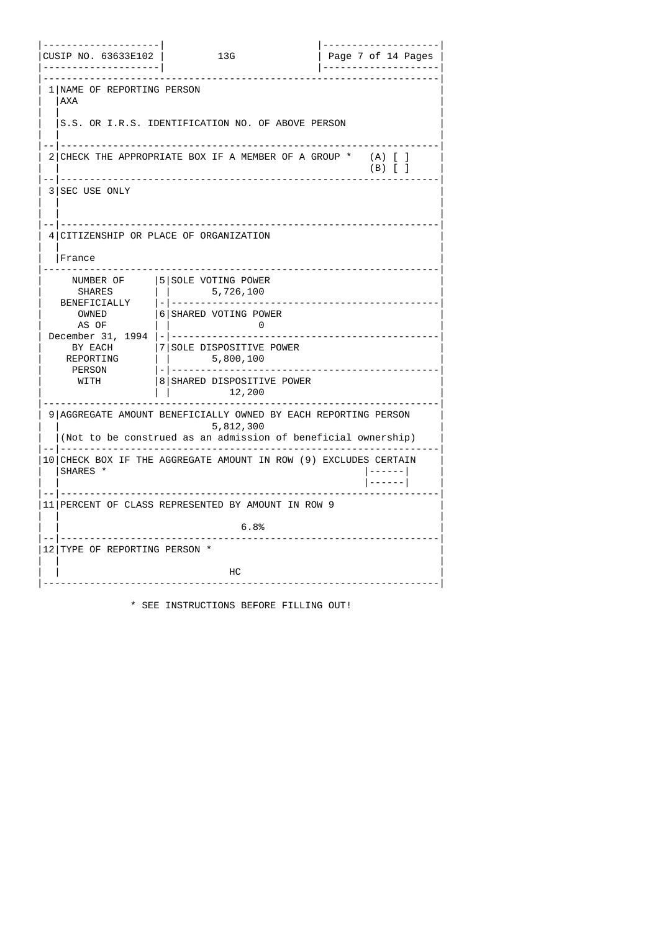| -------------------- <br>CUSIP NO. 63633E102  <br>-------------------- | 13G                                                                                                                                                                               | -------------------- <br>  Page 7 of 14 Pages |
|------------------------------------------------------------------------|-----------------------------------------------------------------------------------------------------------------------------------------------------------------------------------|-----------------------------------------------|
| 1   NAME OF REPORTING PERSON<br>  AXA                                  |                                                                                                                                                                                   |                                               |
|                                                                        | IS.S. OR I.R.S. IDENTIFICATION NO. OF ABOVE PERSON                                                                                                                                |                                               |
|                                                                        | --------------------------------------<br>2 CHECK THE APPROPRIATE BOX IF A MEMBER OF A GROUP *                                                                                    | $(A)$ [ ]<br>$(B)$ $[$ $]$                    |
| . .  <br>3   SEC USE ONLY                                              |                                                                                                                                                                                   |                                               |
| France                                                                 | 4 CITIZENSHIP OR PLACE OF ORGANIZATION                                                                                                                                            |                                               |
| NUMBER OF<br>AS OF<br>BY EACH<br>REPORTING<br>PERSON<br>WITH           | 5 SOLE VOTING POWER<br>OWNED  6 SHARED VOTING POWER<br>$\Box$<br>$\overline{\mathbf{0}}$<br><b>17 SOLE DISPOSITIVE POWER</b><br>8 SHARED DISPOSITIVE POWER<br>12,200              | -------------------                           |
|                                                                        | <u> - - - - - - - - - - -</u> .<br>9   AGGREGATE AMOUNT BENEFICIALLY OWNED BY EACH REPORTING PERSON<br>5,812,300<br>(Not to be construed as an admission of beneficial ownership) |                                               |
| ISHARES <sup>*</sup>                                                   | 10 CHECK BOX IF THE AGGREGATE AMOUNT IN ROW (9) EXCLUDES CERTAIN                                                                                                                  | $  - - - - -  $<br> ------                    |
|                                                                        | 11   PERCENT OF CLASS REPRESENTED BY AMOUNT IN ROW 9                                                                                                                              |                                               |
|                                                                        | 6.8%                                                                                                                                                                              |                                               |
| 12 TYPE OF REPORTING PERSON *                                          |                                                                                                                                                                                   |                                               |
|                                                                        | HС                                                                                                                                                                                |                                               |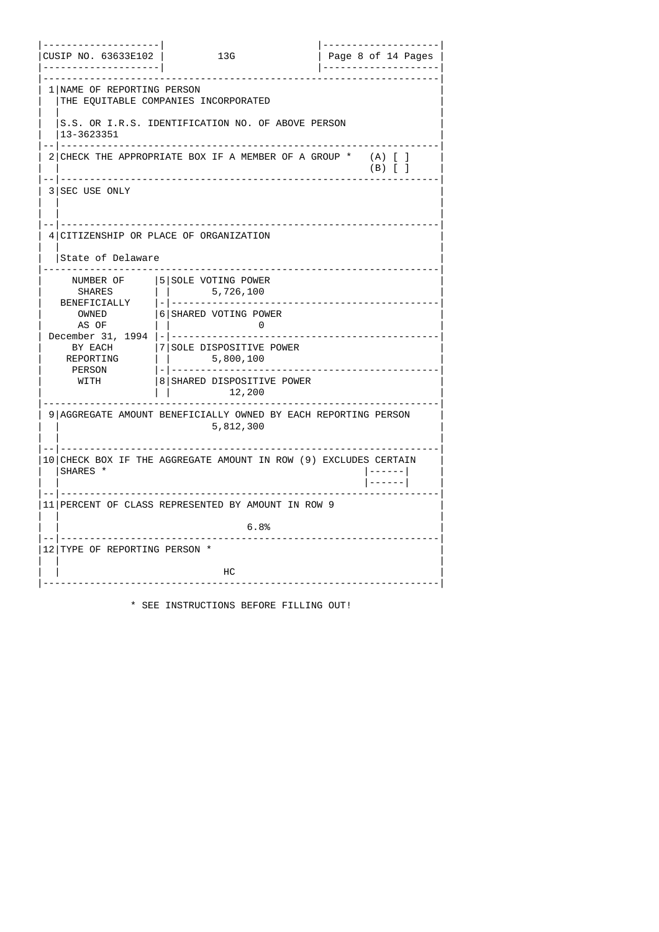| -------------------- <br>- - - - - - - - - - - - - - - - - -   - | CUSIP NO. 63633E102   13G                                                                                                                                                                                                                                                               | Page 8 of 14 Pages  <br>  --------------------- |
|------------------------------------------------------------------|-----------------------------------------------------------------------------------------------------------------------------------------------------------------------------------------------------------------------------------------------------------------------------------------|-------------------------------------------------|
| 1   NAME OF REPORTING PERSON                                     | THE EQUITABLE COMPANIES INCORPORATED                                                                                                                                                                                                                                                    |                                                 |
| 13-3623351<br>-   ------------                                   | IS.S. OR I.R.S. IDENTIFICATION NO. OF ABOVE PERSON<br>_____________________________________                                                                                                                                                                                             |                                                 |
|                                                                  | 2 CHECK THE APPROPRIATE BOX IF A MEMBER OF A GROUP *<br>-----------------------------------                                                                                                                                                                                             | $(A)$ $[$ $]$<br>$(B)$ $[$ $]$                  |
| -- ---------<br>3 SEC USE ONLY                                   |                                                                                                                                                                                                                                                                                         |                                                 |
| State of Delaware                                                | 4 CITIZENSHIP OR PLACE OF ORGANIZATION                                                                                                                                                                                                                                                  |                                                 |
| AS OF<br>REPORTING<br>PERSON<br>WITH                             | NUMBER OF   5  SOLE VOTING POWER<br>OWNED  6 SHARED VOTING POWER<br>$\Box$<br>$\overline{\mathbf{0}}$<br>BY EACH  7 SOLE DISPOSITIVE POWER<br>    5,800,100<br>8 SHARED DISPOSITIVE POWER<br>12,200<br>. <u>.</u> .<br>9   AGGREGATE AMOUNT BENEFICIALLY OWNED BY EACH REPORTING PERSON |                                                 |
|                                                                  | 5,812,300<br>10 CHECK BOX IF THE AGGREGATE AMOUNT IN ROW (9) EXCLUDES CERTAIN                                                                                                                                                                                                           |                                                 |
| SHARES *                                                         |                                                                                                                                                                                                                                                                                         | $  - - - - -  $<br> ------                      |
|                                                                  | 11   PERCENT OF CLASS REPRESENTED BY AMOUNT IN ROW 9<br>6.8%<br><u> - - - - - - - - - - - -</u> .                                                                                                                                                                                       |                                                 |
| 12 TYPE OF REPORTING PERSON *                                    | . <u>.</u>                                                                                                                                                                                                                                                                              |                                                 |
|                                                                  | нc                                                                                                                                                                                                                                                                                      |                                                 |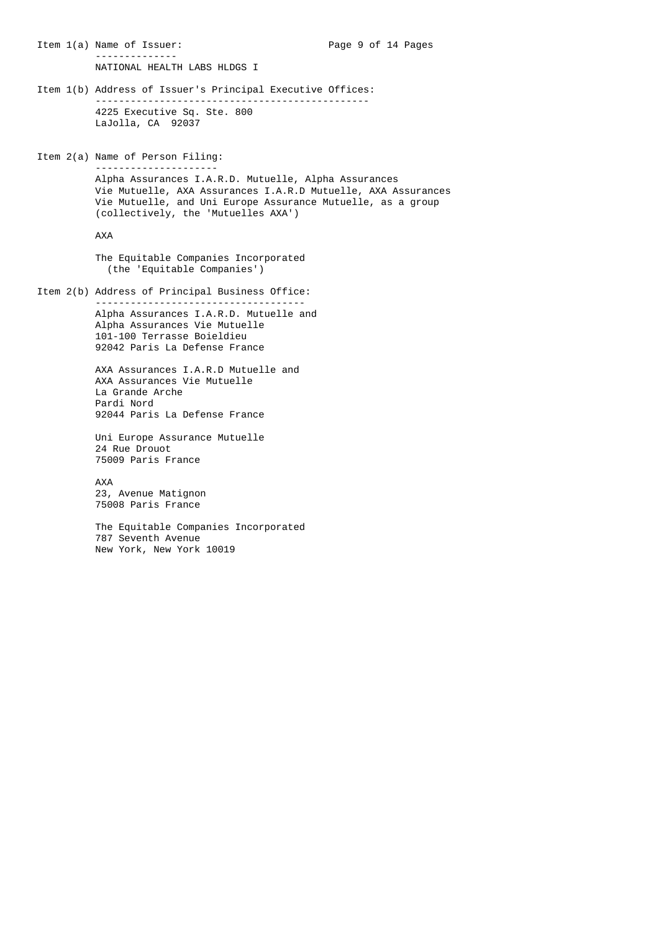Item 1(a) Name of Issuer: Page 9 of 14 Pages -------------- NATIONAL HEALTH LABS HLDGS I Item 1(b) Address of Issuer's Principal Executive Offices: ----------------------------------------------- 4225 Executive Sq. Ste. 800 LaJolla, CA 92037 Item 2(a) Name of Person Filing: --------------------- Alpha Assurances I.A.R.D. Mutuelle, Alpha Assurances Vie Mutuelle, AXA Assurances I.A.R.D Mutuelle, AXA Assurances Vie Mutuelle, and Uni Europe Assurance Mutuelle, as a group (collectively, the 'Mutuelles AXA') AXA The Equitable Companies Incorporated (the 'Equitable Companies') Item 2(b) Address of Principal Business Office: ------------------------------------ Alpha Assurances I.A.R.D. Mutuelle and Alpha Assurances Vie Mutuelle 101-100 Terrasse Boieldieu 92042 Paris La Defense France AXA Assurances I.A.R.D Mutuelle and AXA Assurances Vie Mutuelle La Grande Arche Pardi Nord 92044 Paris La Defense France Uni Europe Assurance Mutuelle 24 Rue Drouot 75009 Paris France AXA 23, Avenue Matignon 75008 Paris France

> The Equitable Companies Incorporated 787 Seventh Avenue New York, New York 10019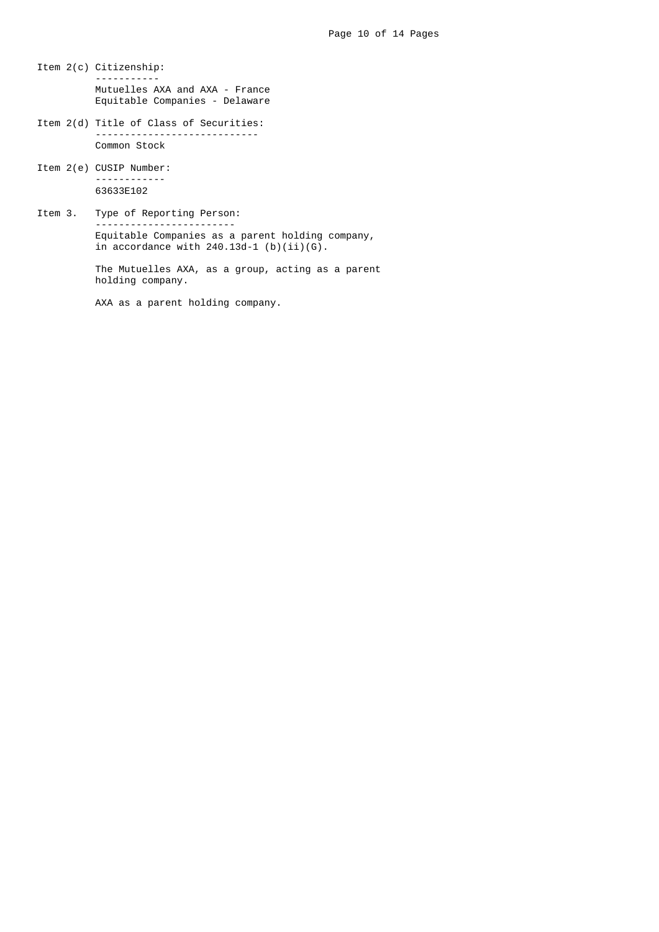- Item 2(c) Citizenship: ----------- Mutuelles AXA and AXA - France Equitable Companies - Delaware
- Item 2(d) Title of Class of Securities: ----------------------------

Common Stock

- Item 2(e) CUSIP Number: ------------ 63633E102
- Item 3. Type of Reporting Person: ------------------------ Equitable Companies as a parent holding company, in accordance with  $240.13d-1$  (b)(ii)(G).

 The Mutuelles AXA, as a group, acting as a parent holding company.

AXA as a parent holding company.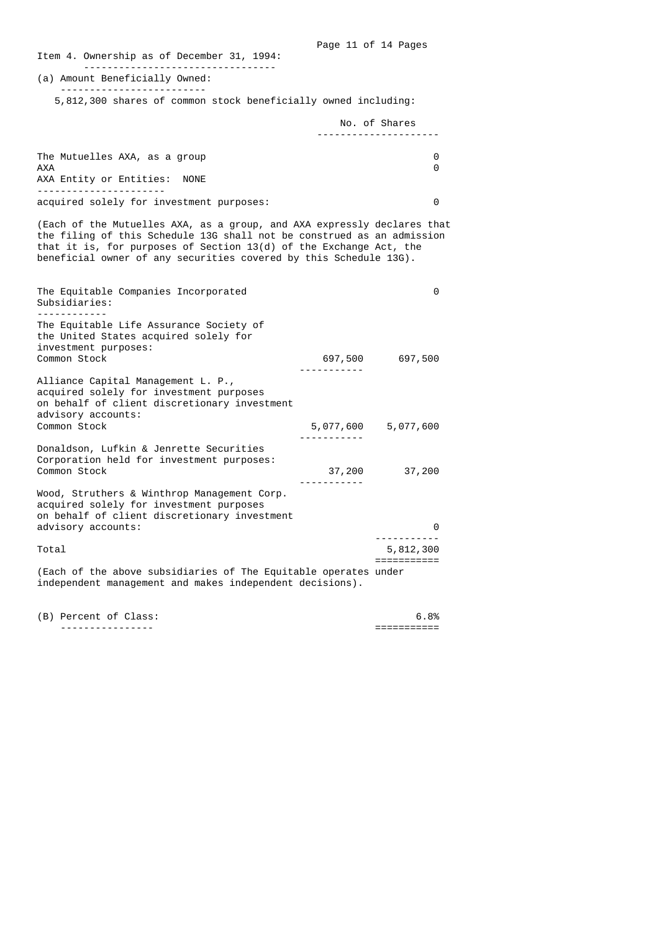Page 11 of 14 Pages Item 4. Ownership as of December 31, 1994: --------------------------------- (a) Amount Beneficially Owned: ------------------------- 5,812,300 shares of common stock beneficially owned including: No. of Shares --------------------- The Mutuelles AXA, as a group 0  $AXA$  0 AXA Entity or Entities: NONE --------------------- acquired solely for investment purposes: 0 (Each of the Mutuelles AXA, as a group, and AXA expressly declares that the filing of this Schedule 13G shall not be construed as an admission that it is, for purposes of Section 13(d) of the Exchange Act, the beneficial owner of any securities covered by this Schedule 13G). The Equitable Companies Incorporated 0 Subsidiaries: ------------ The Equitable Life Assurance Society of the United States acquired solely for investment purposes: 697,500 697,500 ----------- Alliance Capital Management L. P., acquired solely for investment purposes on behalf of client discretionary investment advisory accounts: 5,077,600 5,077,600 ----------- Donaldson, Lufkin & Jenrette Securities Corporation held for investment purposes: Common Stock 37,200 37,200 ----------- Wood, Struthers & Winthrop Management Corp. acquired solely for investment purposes on behalf of client discretionary investment advisory accounts: 0 ----------- Total 5,812,300 =========== (Each of the above subsidiaries of The Equitable operates under independent management and makes independent decisions). (B) Percent of Class: 6.8% ---------------- ===========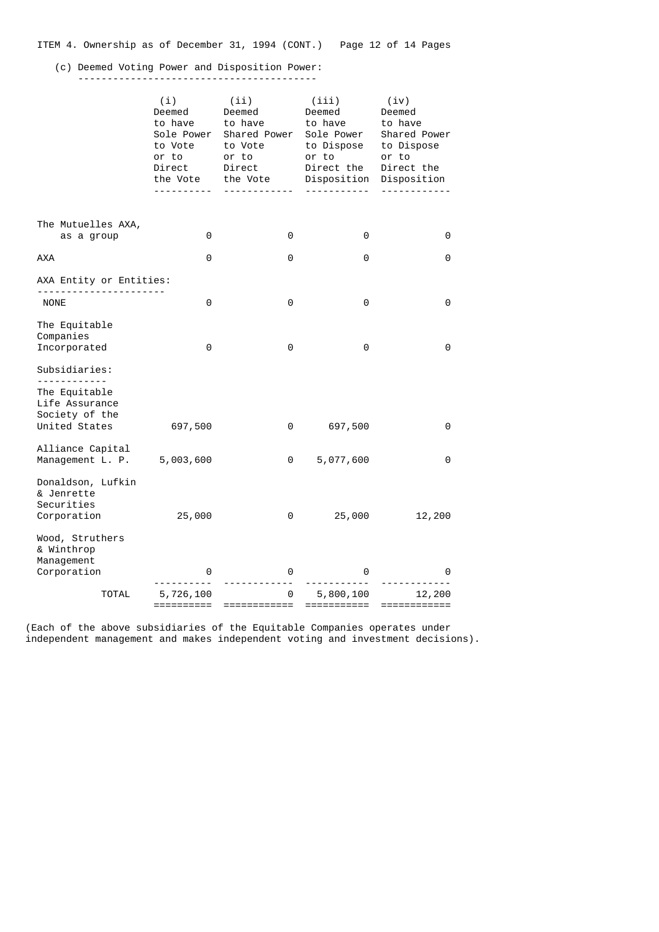|  | ITEM 4. Ownership as of December 31, 1994 (CONT.) |  |  |  |  |  | Page 12 of 14 Pages |  |  |  |  |
|--|---------------------------------------------------|--|--|--|--|--|---------------------|--|--|--|--|
|--|---------------------------------------------------|--|--|--|--|--|---------------------|--|--|--|--|

## (c) Deemed Voting Power and Disposition Power:

-----------------------------------------

|                                                                                    | (i)<br>Deemed<br>to have<br>Sole Power<br>to Vote<br>or to<br>Direct<br>the Vote | (ii)<br>Deemed<br>to have<br>Shared Power<br>to Vote<br>or to<br>Direct<br>the Vote<br><u>.</u> | (iii)<br>Deemed<br>to have<br>Sole Power<br>to Dispose<br>or to<br>Direct the<br>Disposition | (iv)<br>Deemed<br>to have<br>Shared Power<br>to Dispose<br>or to<br>Direct the<br>Disposition |
|------------------------------------------------------------------------------------|----------------------------------------------------------------------------------|-------------------------------------------------------------------------------------------------|----------------------------------------------------------------------------------------------|-----------------------------------------------------------------------------------------------|
| The Mutuelles AXA,<br>as a group                                                   | 0                                                                                | 0                                                                                               | 0                                                                                            | 0                                                                                             |
| <b>AXA</b>                                                                         | 0                                                                                | 0                                                                                               | 0                                                                                            | 0                                                                                             |
| AXA Entity or Entities:                                                            |                                                                                  |                                                                                                 |                                                                                              |                                                                                               |
| <b>NONE</b>                                                                        | 0                                                                                | 0                                                                                               | 0                                                                                            | 0                                                                                             |
| The Equitable<br>Companies<br>Incorporated                                         | 0                                                                                | 0                                                                                               | 0                                                                                            | 0                                                                                             |
| Subsidiaries:                                                                      |                                                                                  |                                                                                                 |                                                                                              |                                                                                               |
| <u> - - - - - - - - - - -</u><br>The Equitable<br>Life Assurance<br>Society of the |                                                                                  |                                                                                                 |                                                                                              |                                                                                               |
| United States                                                                      | 697,500                                                                          | 0                                                                                               | 697,500                                                                                      | 0                                                                                             |
| Alliance Capital<br>Management L. P.                                               | 5,003,600                                                                        | 0                                                                                               | 5,077,600                                                                                    | 0                                                                                             |
| Donaldson, Lufkin<br>& Jenrette<br>Securities<br>Corporation                       | 25,000                                                                           | 0                                                                                               | 25,000                                                                                       | 12,200                                                                                        |
| Wood, Struthers<br>& Winthrop<br>Management                                        |                                                                                  |                                                                                                 |                                                                                              |                                                                                               |
| Corporation                                                                        | 0                                                                                | 0                                                                                               | 0                                                                                            | 0                                                                                             |
| <b>TOTAL</b>                                                                       | 5,726,100<br>==========                                                          | 0<br>============                                                                               | 5,800,100<br>===========                                                                     | 12,200<br>============                                                                        |

 (Each of the above subsidiaries of the Equitable Companies operates under independent management and makes independent voting and investment decisions).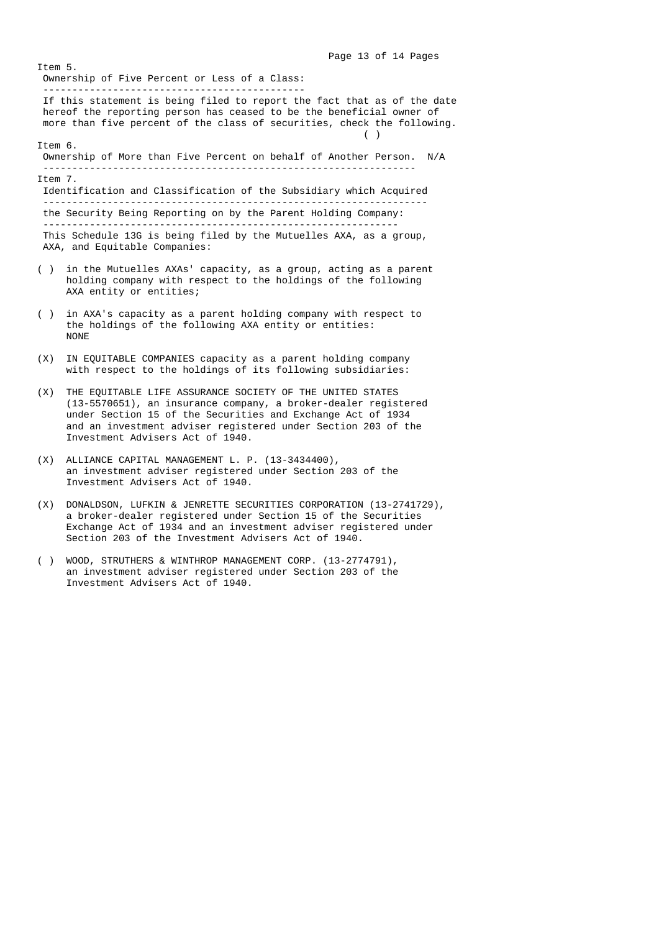Page 13 of 14 Pages Item 5. Ownership of Five Percent or Less of a Class: --------------------------------------------- If this statement is being filed to report the fact that as of the date hereof the reporting person has ceased to be the beneficial owner of more than five percent of the class of securities, check the following.  $\left( \begin{array}{c} \end{array} \right)$  Item 6. Ownership of More than Five Percent on behalf of Another Person. N/A ---------------------------------------------------------------- Item 7. Identification and Classification of the Subsidiary which Acquired ----------------------------------------------------------------- the Security Being Reporting on by the Parent Holding Company: ------------------------------------------------------------- This Schedule 13G is being filed by the Mutuelles AXA, as a group, AXA, and Equitable Companies: ( ) in the Mutuelles AXAs' capacity, as a group, acting as a parent holding company with respect to the holdings of the following AXA entity or entities; ( ) in AXA's capacity as a parent holding company with respect to

- the holdings of the following AXA entity or entities: NONE
- (X) IN EQUITABLE COMPANIES capacity as a parent holding company with respect to the holdings of its following subsidiaries:
- (X) THE EQUITABLE LIFE ASSURANCE SOCIETY OF THE UNITED STATES (13-5570651), an insurance company, a broker-dealer registered under Section 15 of the Securities and Exchange Act of 1934 and an investment adviser registered under Section 203 of the Investment Advisers Act of 1940.
- (X) ALLIANCE CAPITAL MANAGEMENT L. P. (13-3434400), an investment adviser registered under Section 203 of the Investment Advisers Act of 1940.
- (X) DONALDSON, LUFKIN & JENRETTE SECURITIES CORPORATION (13-2741729), a broker-dealer registered under Section 15 of the Securities Exchange Act of 1934 and an investment adviser registered under Section 203 of the Investment Advisers Act of 1940.
- ( ) WOOD, STRUTHERS & WINTHROP MANAGEMENT CORP. (13-2774791), an investment adviser registered under Section 203 of the Investment Advisers Act of 1940.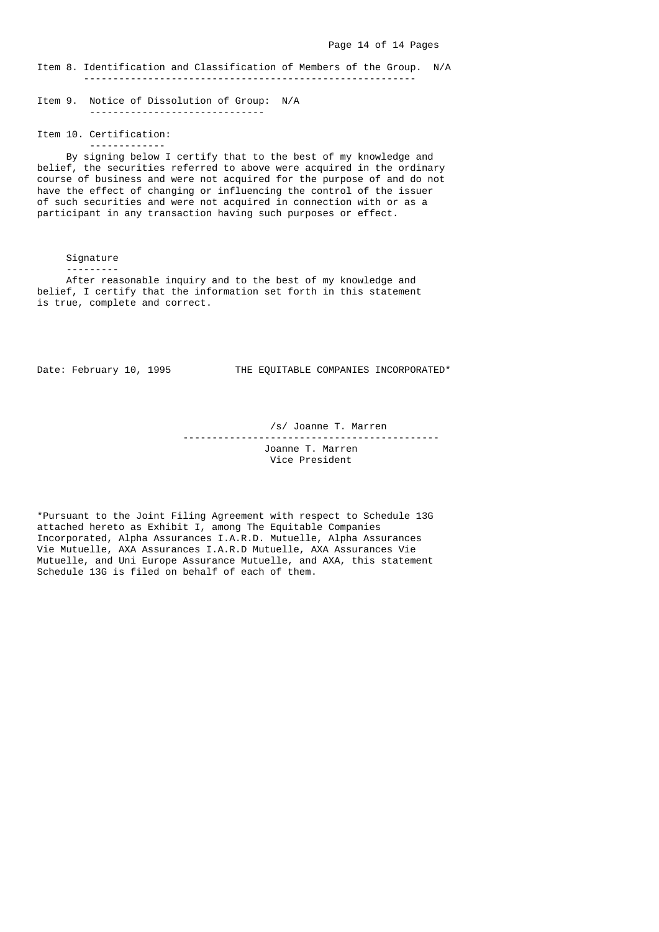Item 8. Identification and Classification of Members of the Group. N/A ---------------------------------------------------------

 Item 9. Notice of Dissolution of Group: N/A ------------------------------

 Item 10. Certification: -------------

 By signing below I certify that to the best of my knowledge and belief, the securities referred to above were acquired in the ordinary course of business and were not acquired for the purpose of and do not have the effect of changing or influencing the control of the issuer of such securities and were not acquired in connection with or as a participant in any transaction having such purposes or effect.

Signature

---------

 After reasonable inquiry and to the best of my knowledge and belief, I certify that the information set forth in this statement is true, complete and correct.

Date: February 10, 1995 THE EQUITABLE COMPANIES INCORPORATED\*

/s/ Joanne T. Marren

--------------------------------------------

 Joanne T. Marren Vice President

 \*Pursuant to the Joint Filing Agreement with respect to Schedule 13G attached hereto as Exhibit I, among The Equitable Companies Incorporated, Alpha Assurances I.A.R.D. Mutuelle, Alpha Assurances Vie Mutuelle, AXA Assurances I.A.R.D Mutuelle, AXA Assurances Vie Mutuelle, and Uni Europe Assurance Mutuelle, and AXA, this statement Schedule 13G is filed on behalf of each of them.